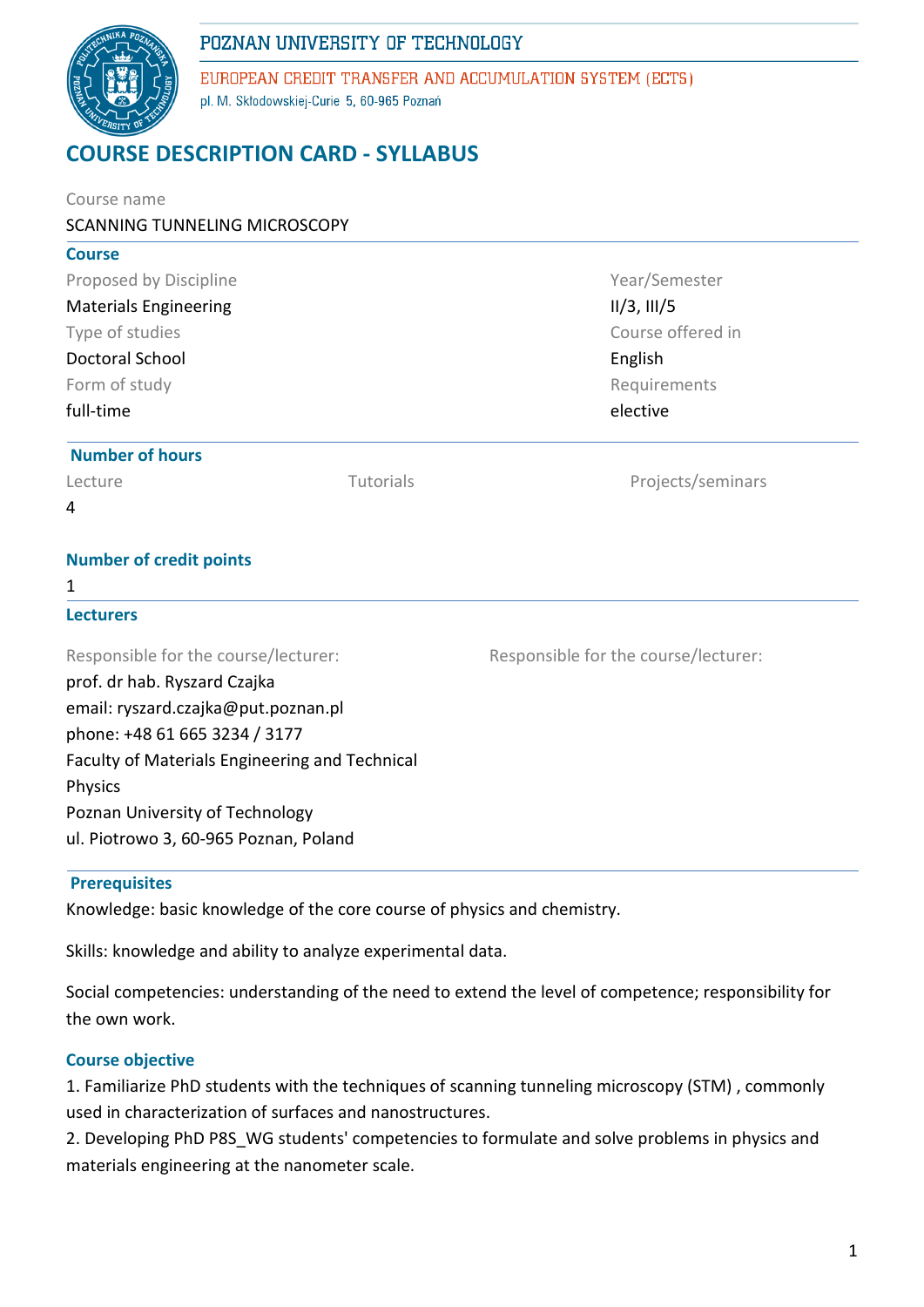

EUROPEAN CREDIT TRANSFER AND ACCUMULATION SYSTEM (ECTS) pl. M. Skłodowskiej-Curie 5, 60-965 Poznań

# **COURSE DESCRIPTION CARD - SYLLABUS**

| Course name<br>SCANNING TUNNELING MICROSCOPY                                                                                                                                                                                                                                          |           |                                                              |  |                        |  |  |
|---------------------------------------------------------------------------------------------------------------------------------------------------------------------------------------------------------------------------------------------------------------------------------------|-----------|--------------------------------------------------------------|--|------------------------|--|--|
| <b>Course</b>                                                                                                                                                                                                                                                                         |           |                                                              |  |                        |  |  |
| Proposed by Discipline                                                                                                                                                                                                                                                                |           | Year/Semester<br>II/3, III/5<br>Course offered in<br>English |  |                        |  |  |
| <b>Materials Engineering</b>                                                                                                                                                                                                                                                          |           |                                                              |  |                        |  |  |
| Type of studies                                                                                                                                                                                                                                                                       |           |                                                              |  |                        |  |  |
| Doctoral School                                                                                                                                                                                                                                                                       |           |                                                              |  |                        |  |  |
| Form of study<br>full-time                                                                                                                                                                                                                                                            |           | Requirements<br>elective                                     |  |                        |  |  |
|                                                                                                                                                                                                                                                                                       |           |                                                              |  | <b>Number of hours</b> |  |  |
| Lecture                                                                                                                                                                                                                                                                               | Tutorials | Projects/seminars                                            |  |                        |  |  |
| 4                                                                                                                                                                                                                                                                                     |           |                                                              |  |                        |  |  |
| <b>Number of credit points</b>                                                                                                                                                                                                                                                        |           |                                                              |  |                        |  |  |
| 1                                                                                                                                                                                                                                                                                     |           |                                                              |  |                        |  |  |
| <b>Lecturers</b>                                                                                                                                                                                                                                                                      |           |                                                              |  |                        |  |  |
| Responsible for the course/lecturer:<br>prof. dr hab. Ryszard Czajka<br>email: ryszard.czajka@put.poznan.pl<br>phone: +48 61 665 3234 / 3177<br>Faculty of Materials Engineering and Technical<br>Physics<br>Poznan University of Technology<br>ul. Piotrowo 3, 60-965 Poznan, Poland |           | Responsible for the course/lecturer:                         |  |                        |  |  |

## **Prerequisites**

Knowledge: basic knowledge of the core course of physics and chemistry.

Skills: knowledge and ability to analyze experimental data.

Social competencies: understanding of the need to extend the level of competence; responsibility for the own work.

## **Course objective**

1. Familiarize PhD students with the techniques of scanning tunneling microscopy (STM) , commonly used in characterization of surfaces and nanostructures.

2. Developing PhD P8S\_WG students' competencies to formulate and solve problems in physics and materials engineering at the nanometer scale.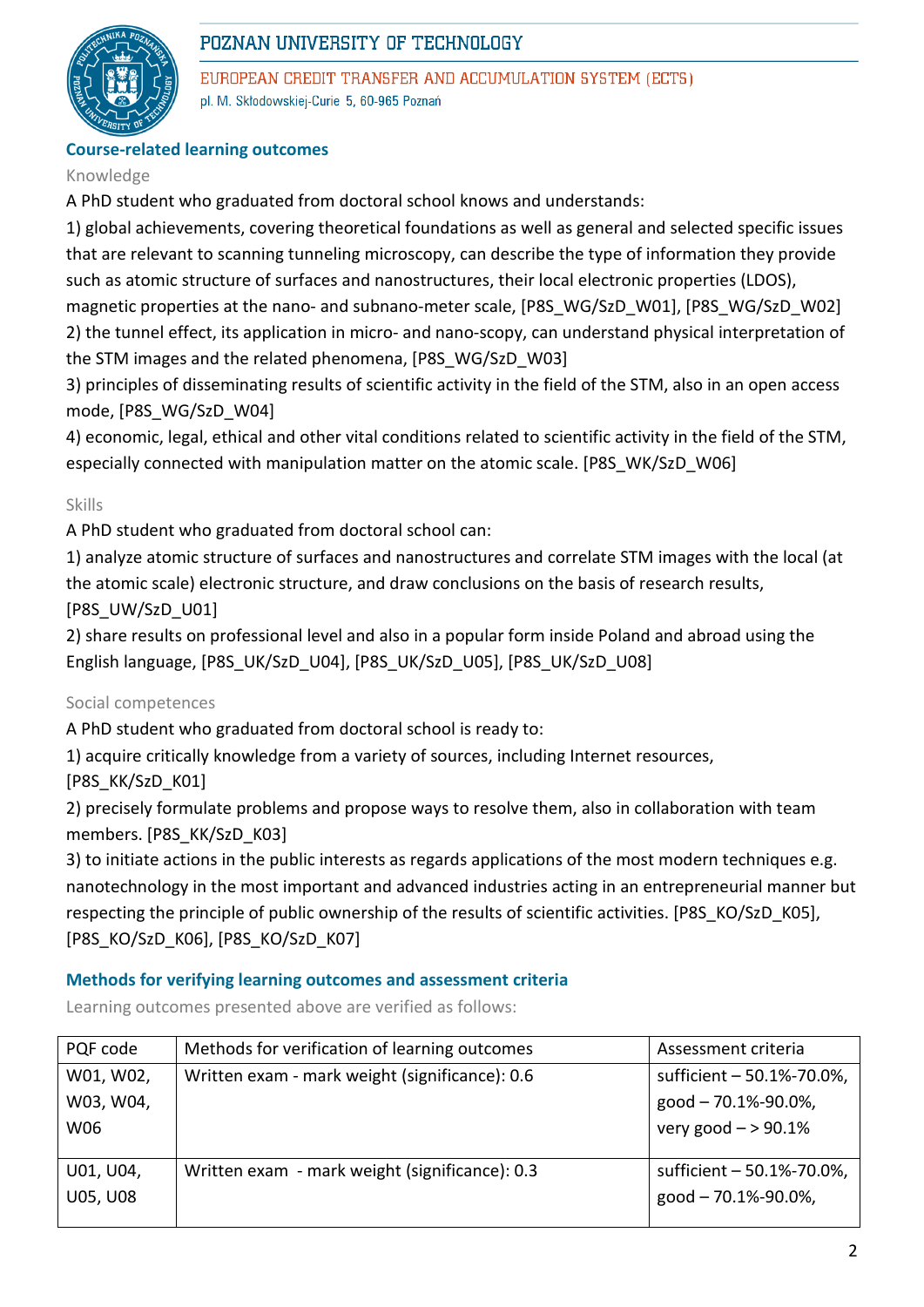

EUROPEAN CREDIT TRANSFER AND ACCUMULATION SYSTEM (ECTS) pl. M. Skłodowskiej-Curie 5, 60-965 Poznań

## **Course-related learning outcomes**

#### Knowledge

A PhD student who graduated from doctoral school knows and understands:

1) global achievements, covering theoretical foundations as well as general and selected specific issues that are relevant to scanning tunneling microscopy, can describe the type of information they provide such as atomic structure of surfaces and nanostructures, their local electronic properties (LDOS), magnetic properties at the nano- and subnano-meter scale, [P8S\_WG/SzD\_W01], [P8S\_WG/SzD\_W02]

2) the tunnel effect, its application in micro- and nano-scopy, can understand physical interpretation of the STM images and the related phenomena, [P8S\_WG/SzD\_W03]

3) principles of disseminating results of scientific activity in the field of the STM, also in an open access mode, [P8S\_WG/SzD\_W04]

4) economic, legal, ethical and other vital conditions related to scientific activity in the field of the STM, especially connected with manipulation matter on the atomic scale. [P8S\_WK/SzD\_W06]

#### Skills

A PhD student who graduated from doctoral school can:

1) analyze atomic structure of surfaces and nanostructures and correlate STM images with the local (at the atomic scale) electronic structure, and draw conclusions on the basis of research results, [P8S\_UW/SzD\_U01]

2) share results on professional level and also in a popular form inside Poland and abroad using the English language, [P8S\_UK/SzD\_U04], [P8S\_UK/SzD\_U05], [P8S\_UK/SzD\_U08]

## Social competences

A PhD student who graduated from doctoral school is ready to:

1) acquire critically knowledge from a variety of sources, including Internet resources,

[P8S\_KK/SzD\_K01]

2) precisely formulate problems and propose ways to resolve them, also in collaboration with team members. [P8S\_KK/SzD\_K03]

3) to initiate actions in the public interests as regards applications of the most modern techniques e.g. nanotechnology in the most important and advanced industries acting in an entrepreneurial manner but respecting the principle of public ownership of the results of scientific activities. [P8S\_KO/SzD\_K05], [P8S\_KO/SzD\_K06], [P8S\_KO/SzD\_K07]

#### **Methods for verifying learning outcomes and assessment criteria**

Learning outcomes presented above are verified as follows:

| PQF code        | Methods for verification of learning outcomes  | Assessment criteria       |  |
|-----------------|------------------------------------------------|---------------------------|--|
| W01, W02,       | Written exam - mark weight (significance): 0.6 | sufficient - 50.1%-70.0%, |  |
| W03, W04,       |                                                | good - 70.1%-90.0%,       |  |
| W06             |                                                | very good $-$ > 90.1%     |  |
|                 |                                                |                           |  |
| U01, U04,       | Written exam - mark weight (significance): 0.3 | sufficient - 50.1%-70.0%, |  |
| <b>U05, U08</b> |                                                | good - 70.1%-90.0%,       |  |
|                 |                                                |                           |  |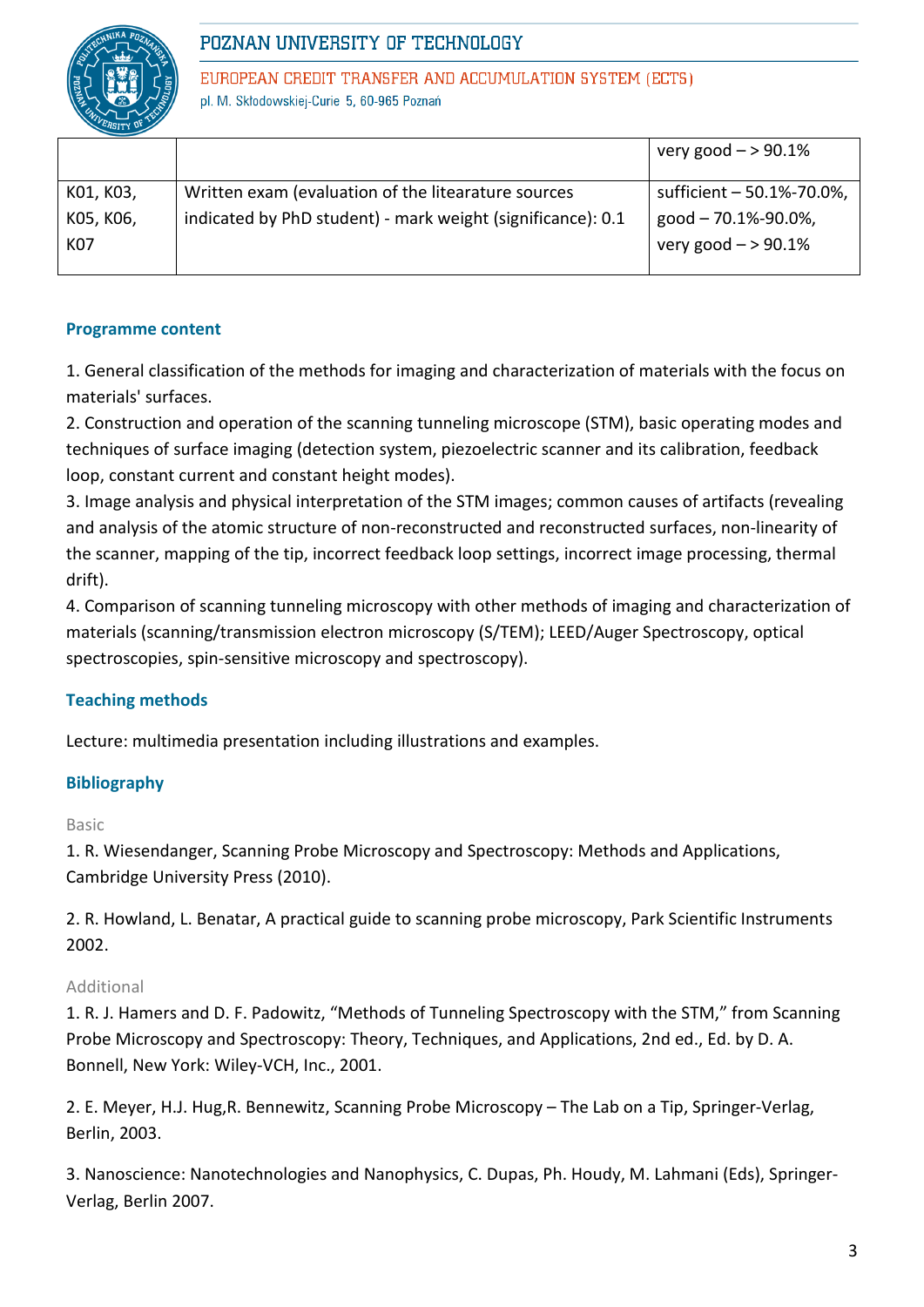

EUROPEAN CREDIT TRANSFER AND ACCUMULATION SYSTEM (ECTS) pl. M. Skłodowskiej-Curie 5, 60-965 Poznań

|           |                                                             | very good $-$ > 90.1%     |
|-----------|-------------------------------------------------------------|---------------------------|
| K01, K03, | Written exam (evaluation of the litearature sources         | sufficient - 50.1%-70.0%, |
| K05, K06, | indicated by PhD student) - mark weight (significance): 0.1 | good - 70.1%-90.0%,       |
| K07       |                                                             | very good $-$ > 90.1%     |
|           |                                                             |                           |

#### **Programme content**

1. General classification of the methods for imaging and characterization of materials with the focus on materials' surfaces.

2. Construction and operation of the scanning tunneling microscope (STM), basic operating modes and techniques of surface imaging (detection system, piezoelectric scanner and its calibration, feedback loop, constant current and constant height modes).

3. Image analysis and physical interpretation of the STM images; common causes of artifacts (revealing and analysis of the atomic structure of non-reconstructed and reconstructed surfaces, non-linearity of the scanner, mapping of the tip, incorrect feedback loop settings, incorrect image processing, thermal drift).

4. Comparison of scanning tunneling microscopy with other methods of imaging and characterization of materials (scanning/transmission electron microscopy (S/TEM); LEED/Auger Spectroscopy, optical spectroscopies, spin-sensitive microscopy and spectroscopy).

## **Teaching methods**

Lecture: multimedia presentation including illustrations and examples.

## **Bibliography**

Basic

1. R. Wiesendanger, Scanning Probe Microscopy and Spectroscopy: Methods and Applications, Cambridge University Press (2010).

2. R. Howland, L. Benatar, A practical guide to scanning probe microscopy, Park Scientific Instruments 2002.

## Additional

1. R. J. Hamers and D. F. Padowitz, "Methods of Tunneling Spectroscopy with the STM," from Scanning Probe Microscopy and Spectroscopy: Theory, Techniques, and Applications, 2nd ed., Ed. by D. A. Bonnell, New York: Wiley-VCH, Inc., 2001.

2. E. Meyer, H.J. Hug,R. Bennewitz, Scanning Probe Microscopy – The Lab on a Tip, Springer-Verlag, Berlin, 2003.

3. Nanoscience: Nanotechnologies and Nanophysics, C. Dupas, Ph. Houdy, M. Lahmani (Eds), Springer-Verlag, Berlin 2007.